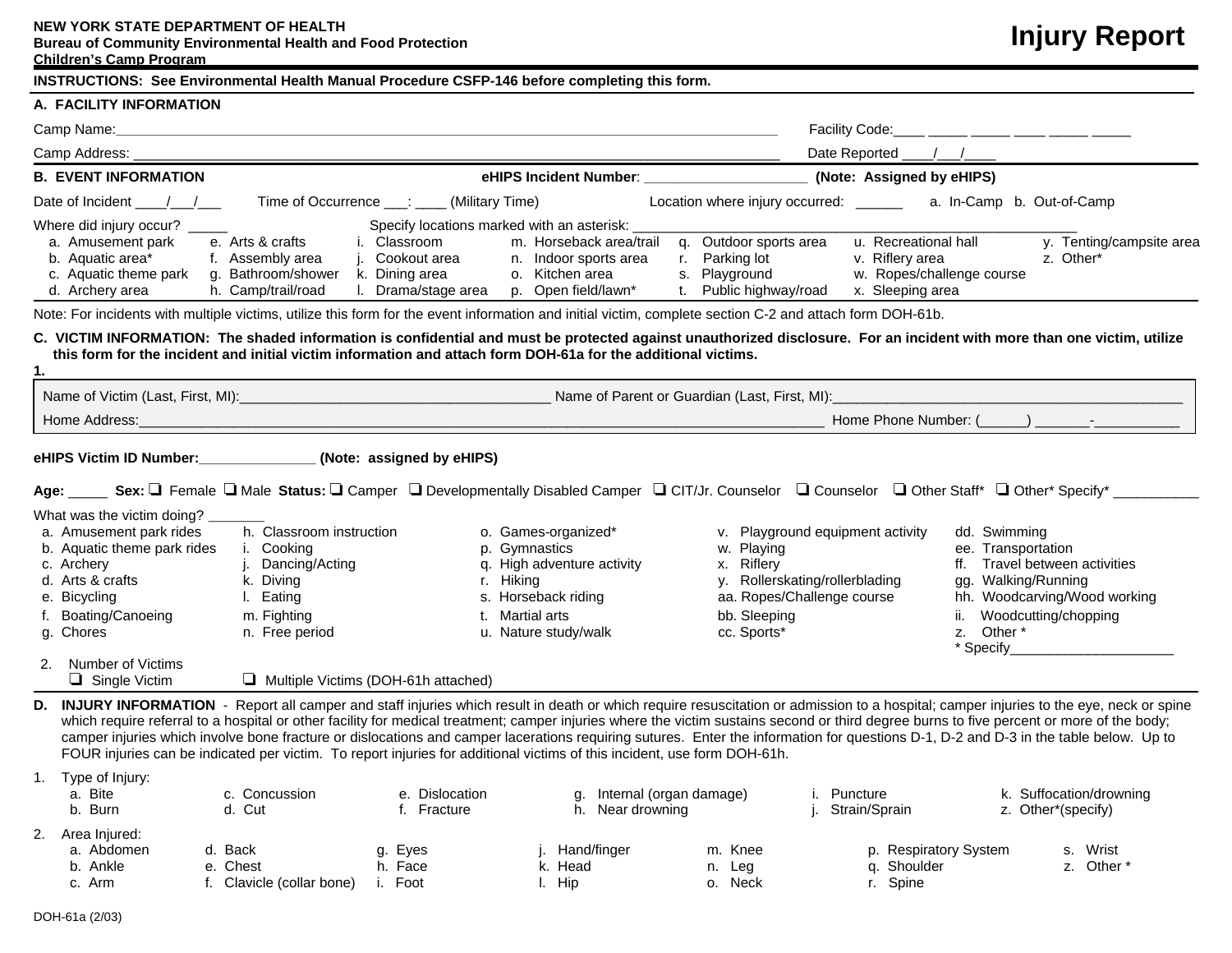## **NEW YORK STATE DEPARTMENT OF HEALTH**

**Bureau of Community Environmental Health and Food Protection**

## **Children's Camp Program**

## **Injury Report**

|  | INSTRUCTIONS: See Environmental Health Manual Procedure CSFP-146 before completing this form. |
|--|-----------------------------------------------------------------------------------------------|
|  |                                                                                               |

| A. FACILITY INFORMATION                                                                                                                                                                                                                                           |                                                                                                                           |                                                                                                                                                         |                                                                                                                                                                                                                                                                         |                                                                                                                                                                                                                                                                                                                                                                                                                                                                                                                                                                           |
|-------------------------------------------------------------------------------------------------------------------------------------------------------------------------------------------------------------------------------------------------------------------|---------------------------------------------------------------------------------------------------------------------------|---------------------------------------------------------------------------------------------------------------------------------------------------------|-------------------------------------------------------------------------------------------------------------------------------------------------------------------------------------------------------------------------------------------------------------------------|---------------------------------------------------------------------------------------------------------------------------------------------------------------------------------------------------------------------------------------------------------------------------------------------------------------------------------------------------------------------------------------------------------------------------------------------------------------------------------------------------------------------------------------------------------------------------|
| Camp Name:                                                                                                                                                                                                                                                        |                                                                                                                           |                                                                                                                                                         |                                                                                                                                                                                                                                                                         |                                                                                                                                                                                                                                                                                                                                                                                                                                                                                                                                                                           |
|                                                                                                                                                                                                                                                                   |                                                                                                                           |                                                                                                                                                         |                                                                                                                                                                                                                                                                         |                                                                                                                                                                                                                                                                                                                                                                                                                                                                                                                                                                           |
| <b>B. EVENT INFORMATION</b>                                                                                                                                                                                                                                       |                                                                                                                           |                                                                                                                                                         | eHIPS Incident Number: _______________________                                                                                                                                                                                                                          | (Note: Assigned by eHIPS)                                                                                                                                                                                                                                                                                                                                                                                                                                                                                                                                                 |
| Date of Incident $\frac{1}{\sqrt{2}}$                                                                                                                                                                                                                             | Time of Occurrence ___: ____ (Military Time)                                                                              |                                                                                                                                                         |                                                                                                                                                                                                                                                                         | Location where injury occurred: _______ a. In-Camp b. Out-of-Camp                                                                                                                                                                                                                                                                                                                                                                                                                                                                                                         |
| Where did injury occur?<br>a. Amusement park<br>b. Aquatic area*<br>c. Aquatic theme park<br>d. Archery area                                                                                                                                                      | i. Classroom<br>e. Arts & crafts<br>f. Assembly area<br>g. Bathroom/shower<br>k. Dining area<br>h. Camp/trail/road        | Specify locations marked with an asterisk:<br>j. Cookout area<br>n. Indoor sports area<br>o. Kitchen area<br>I. Drama/stage area<br>p. Open field/lawn* | m. Horseback area/trail q. Outdoor sports area<br>r. Parking lot<br>s. Playground<br>t. Public highway/road<br>Note: For incidents with multiple victims, utilize this form for the event information and initial victim, complete section C-2 and attach form DOH-61b. | u. Recreational hall<br>y. Tenting/campsite area<br>v. Riflery area<br>z. Other*<br>w. Ropes/challenge course<br>x. Sleeping area                                                                                                                                                                                                                                                                                                                                                                                                                                         |
|                                                                                                                                                                                                                                                                   |                                                                                                                           |                                                                                                                                                         |                                                                                                                                                                                                                                                                         |                                                                                                                                                                                                                                                                                                                                                                                                                                                                                                                                                                           |
| 1.                                                                                                                                                                                                                                                                |                                                                                                                           | this form for the incident and initial victim information and attach form DOH-61a for the additional victims.                                           |                                                                                                                                                                                                                                                                         | C. VICTIM INFORMATION: The shaded information is confidential and must be protected against unauthorized disclosure. For an incident with more than one victim, utilize                                                                                                                                                                                                                                                                                                                                                                                                   |
|                                                                                                                                                                                                                                                                   |                                                                                                                           |                                                                                                                                                         |                                                                                                                                                                                                                                                                         |                                                                                                                                                                                                                                                                                                                                                                                                                                                                                                                                                                           |
| Home Address:                                                                                                                                                                                                                                                     |                                                                                                                           |                                                                                                                                                         |                                                                                                                                                                                                                                                                         | Home Phone Number: (                                                                                                                                                                                                                                                                                                                                                                                                                                                                                                                                                      |
| eHIPS Victim ID Number: (Note: assigned by eHIPS)<br>What was the victim doing?<br>a. Amusement park rides<br>b. Aquatic theme park rides<br>c. Archery<br>d. Arts & crafts<br>e. Bicycling<br>f. Boating/Canoeing<br>g. Chores<br><b>Number of Victims</b><br>2. | h. Classroom instruction<br>i. Cooking<br>Dancing/Acting<br>j.<br>k. Diving<br>I. Eating<br>m. Fighting<br>n. Free period | o. Games-organized*<br>p. Gymnastics<br>q. High adventure activity<br>r. Hiking<br>s. Horseback riding<br>t. Martial arts<br>u. Nature study/walk       | v. Playground equipment activity<br>w. Playing<br>x. Riflery<br>y. Rollerskating/rollerblading<br>aa. Ropes/Challenge course<br>bb. Sleeping<br>cc. Sports*                                                                                                             | Age: Sex: □ Female □ Male Status: □ Camper □ Developmentally Disabled Camper □ CIT/Jr. Counselor □ Counselor □ Other Staff* □ Other* Specify* _______<br>dd. Swimming<br>ee. Transportation<br>ff. Travel between activities<br>gg. Walking/Running<br>hh. Woodcarving/Wood working<br>Woodcutting/chopping<br>Other *<br>Z.<br>* Specify <b>Example 2018</b>                                                                                                                                                                                                             |
| $\Box$ Single Victim<br>D.                                                                                                                                                                                                                                        | $\Box$ Multiple Victims (DOH-61h attached)                                                                                | FOUR injuries can be indicated per victim. To report injuries for additional victims of this incident, use form DOH-61h.                                |                                                                                                                                                                                                                                                                         | INJURY INFORMATION - Report all camper and staff injuries which result in death or which require resuscitation or admission to a hospital; camper injuries to the eye, neck or spine<br>which require referral to a hospital or other facility for medical treatment; camper injuries where the victim sustains second or third degree burns to five percent or more of the body;<br>camper injuries which involve bone fracture or dislocations and camper lacerations requiring sutures. Enter the information for questions D-1, D-2 and D-3 in the table below. Up to |
| 1. Type of Injury:<br>a. Bite<br>b. Burn                                                                                                                                                                                                                          | c. Concussion<br>d. Cut                                                                                                   | e. Dislocation<br>f. Fracture                                                                                                                           | g. Internal (organ damage)<br>i. Puncture<br>h. Near drowning<br>j. Strain/Sprain                                                                                                                                                                                       | k. Suffocation/drowning<br>z. Other*(specify)                                                                                                                                                                                                                                                                                                                                                                                                                                                                                                                             |
| 2 Aron Injurade                                                                                                                                                                                                                                                   |                                                                                                                           |                                                                                                                                                         |                                                                                                                                                                                                                                                                         |                                                                                                                                                                                                                                                                                                                                                                                                                                                                                                                                                                           |

- 2. Area Injured:
	- a. Abdomen d. Back g. Eyes j. Hand/finger m. Knee p. Respiratory System s. Wrist b. Ankle e. Chest h. Face k. Head n. Leg q. Shoulder z. Other \* c. Arm 6. Clavicle (collar bone) i. Foot 1. Hip o. Neck can be r. Spine
		-